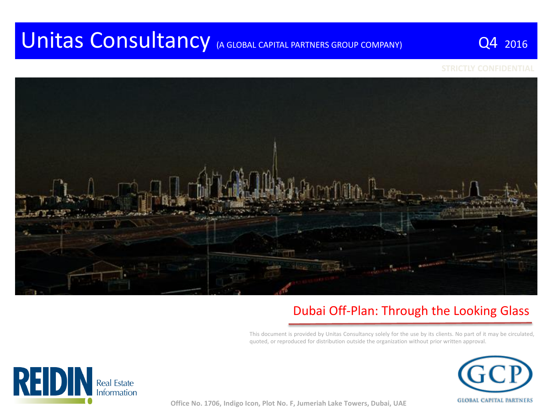# Unitas Consultancy (A GLOBAL CAPITAL PARTNERS GROUP COMPANY) Q4 2016



#### Dubai Off-Plan: Through the Looking Glass

This document is provided by Unitas Consultancy solely for the use by its clients. No part of it may be circulated, quoted, or reproduced for distribution outside the organization without prior written approval.





**Office No. 1706, Indigo Icon, Plot No. F, Jumeriah Lake Towers, Dubai, UAE**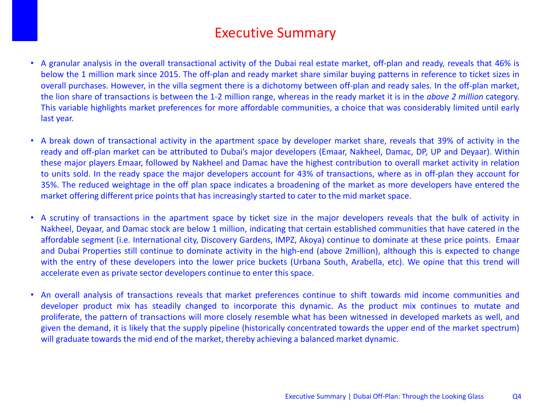### Executive Summary

- A granular analysis in the overall transactional activity of the Dubai real estate market, off-plan and ready, reveals that 46% is below the 1 million mark since 2015. The off-plan and ready market share similar buying patterns in reference to ticket sizes in overall purchases. However, in the villa segment there is a dichotomy between off-plan and ready sales. In the off-plan market, the lion share of transactions is between the 1-2 million range, whereas in the ready market it is in the *above 2 million* category. This variable highlights market preferences for more affordable communities, a choice that was considerably limited until early last year.
- A break down of transactional activity in the apartment space by developer market share, reveals that 39% of activity in the ready and off-plan market can be attributed to Dubai's major developers (Emaar, Nakheel, Damac, DP, UP and Deyaar). Within these major players Emaar, followed by Nakheel and Damac have the highest contribution to overall market activity in relation to units sold. In the ready space the major developers account for 43% of transactions, where as in off-plan they account for 35%. The reduced weightage in the off plan space indicates a broadening of the market as more developers have entered the market offering different price points that has increasingly started to cater to the mid market space.
- A scrutiny of transactions in the apartment space by ticket size in the major developers reveals that the bulk of activity in Nakheel, Deyaar, and Damac stock are below 1 million, indicating that certain established communities that have catered in the affordable segment (i.e. International city, Discovery Gardens, IMPZ, Akoya) continue to dominate at these price points. Emaar and Dubai Properties still continue to dominate activity in the high-end (above 2million), although this is expected to change with the entry of these developers into the lower price buckets (Urbana South, Arabella, etc). We opine that this trend will accelerate even as private sector developers continue to enter this space.
- An overall analysis of transactions reveals that market preferences continue to shift towards mid income communities and developer product mix has steadily changed to incorporate this dynamic. As the product mix continues to mutate and proliferate, the pattern of transactions will more closely resemble what has been witnessed in developed markets as well, and given the demand, it is likely that the supply pipeline (historically concentrated towards the upper end of the market spectrum) will graduate towards the mid end of the market, thereby achieving a balanced market dynamic.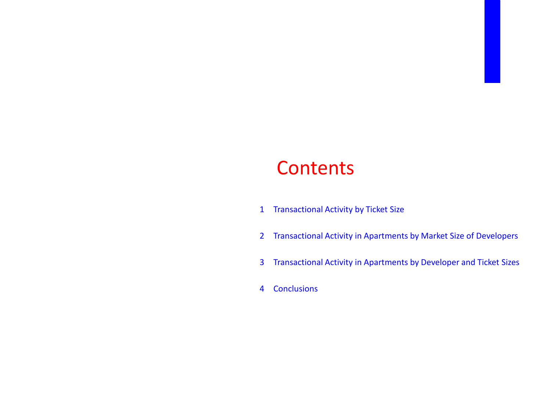# **Contents**

- Transactional Activity by Ticket Size
- Transactional Activity in Apartments by Market Size of Developers
- Transactional Activity in Apartments by Developer and Ticket Sizes
- Conclusions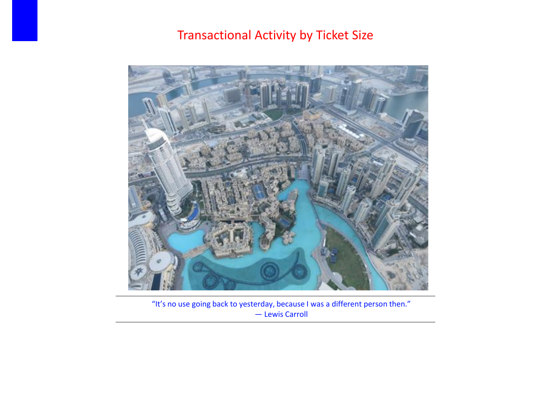### Transactional Activity by Ticket Size



"It's no use going back to yesterday, because I was a different person then." ― Lewis Carroll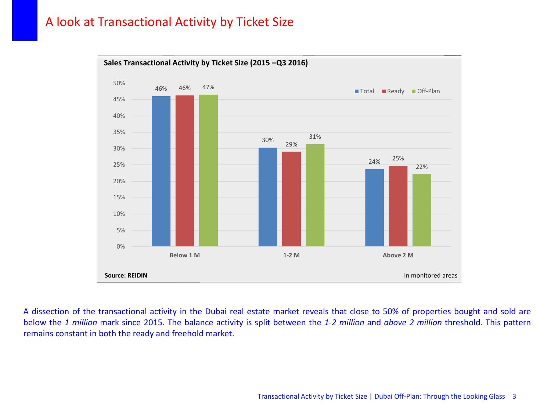#### A look at Transactional Activity by Ticket Size



A dissection of the transactional activity in the Dubai real estate market reveals that close to 50% of properties bought and sold are below the *1 million* mark since 2015. The balance activity is split between the *1-2 million* and *above 2 million* threshold. This pattern remains constant in both the ready and freehold market.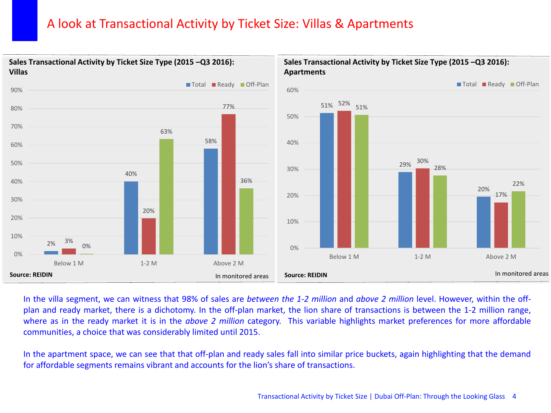#### A look at Transactional Activity by Ticket Size: Villas & Apartments



In the villa segment, we can witness that 98% of sales are *between the 1-2 million* and *above 2 million* level. However, within the offplan and ready market, there is a dichotomy. In the off-plan market, the lion share of transactions is between the 1-2 million range, where as in the ready market it is in the *above 2 million* category. This variable highlights market preferences for more affordable communities, a choice that was considerably limited until 2015.

In the apartment space, we can see that that off-plan and ready sales fall into similar price buckets, again highlighting that the demand for affordable segments remains vibrant and accounts for the lion's share of transactions.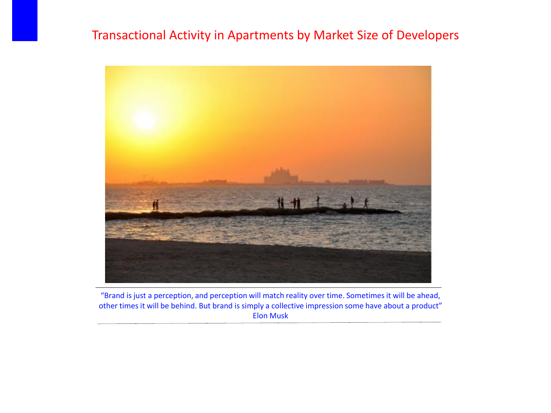#### Transactional Activity in Apartments by Market Size of Developers



"Brand is just a perception, and perception will match reality over time. Sometimes it will be ahead, other times it will be behind. But brand is simply a collective impression some have about a product" Elon Musk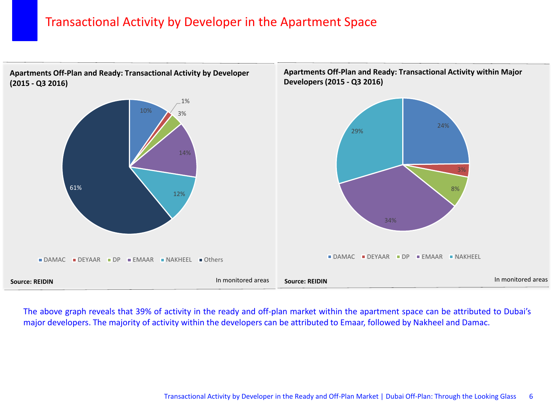#### Transactional Activity by Developer in the Apartment Space

**Apartments Off-Plan and Ready: Transactional Activity by Developer (2015 - Q3 2016)**



The above graph reveals that 39% of activity in the ready and off-plan market within the apartment space can be attributed to Dubai's major developers. The majority of activity within the developers can be attributed to Emaar, followed by Nakheel and Damac.

**Apartments Off-Plan and Ready: Transactional Activity within Major**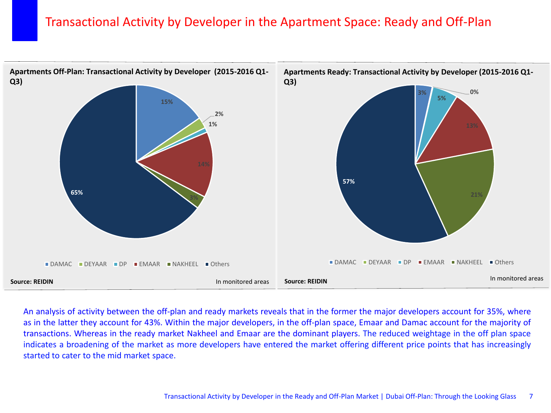#### Transactional Activity by Developer in the Apartment Space: Ready and Off-Plan



An analysis of activity between the off-plan and ready markets reveals that in the former the major developers account for 35%, where as in the latter they account for 43%. Within the major developers, in the off-plan space, Emaar and Damac account for the majority of transactions. Whereas in the ready market Nakheel and Emaar are the dominant players. The reduced weightage in the off plan space indicates a broadening of the market as more developers have entered the market offering different price points that has increasingly started to cater to the mid market space.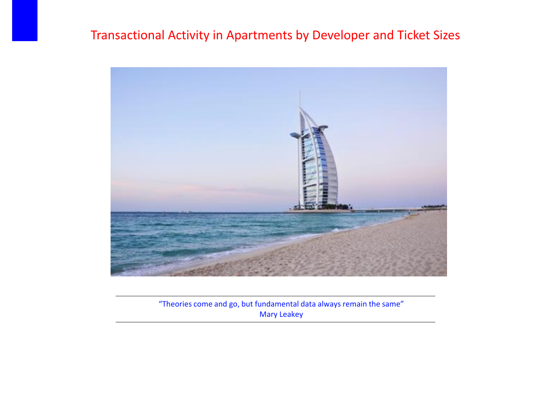#### Transactional Activity in Apartments by Developer and Ticket Sizes



"Theories come and go, but fundamental data always remain the same" Mary Leakey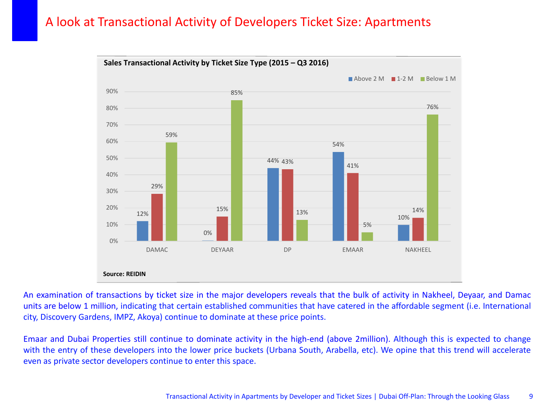#### A look at Transactional Activity of Developers Ticket Size: Apartments



An examination of transactions by ticket size in the major developers reveals that the bulk of activity in Nakheel, Deyaar, and Damac units are below 1 million, indicating that certain established communities that have catered in the affordable segment (i.e. International city, Discovery Gardens, IMPZ, Akoya) continue to dominate at these price points.

Emaar and Dubai Properties still continue to dominate activity in the high-end (above 2million). Although this is expected to change with the entry of these developers into the lower price buckets (Urbana South, Arabella, etc). We opine that this trend will accelerate even as private sector developers continue to enter this space.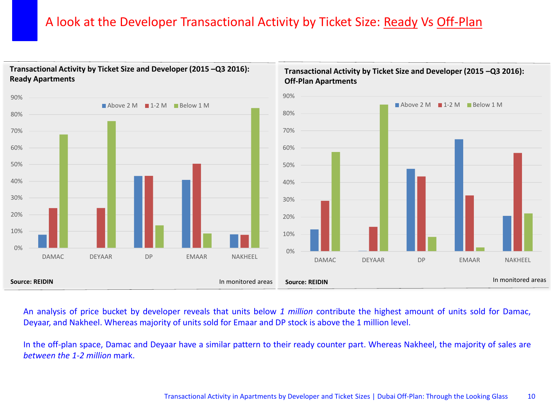#### A look at the Developer Transactional Activity by Ticket Size: Ready Vs Off-Plan



#### **Transactional Activity by Ticket Size and Developer (2015 –Q3 2016): Ready Apartments**

An analysis of price bucket by developer reveals that units below *1 million* contribute the highest amount of units sold for Damac, Deyaar, and Nakheel. Whereas majority of units sold for Emaar and DP stock is above the 1 million level.

In the off-plan space, Damac and Deyaar have a similar pattern to their ready counter part. Whereas Nakheel, the majority of sales are *between the 1-2 million* mark.

**Transactional Activity by Ticket Size and Developer (2015 –Q3 2016):**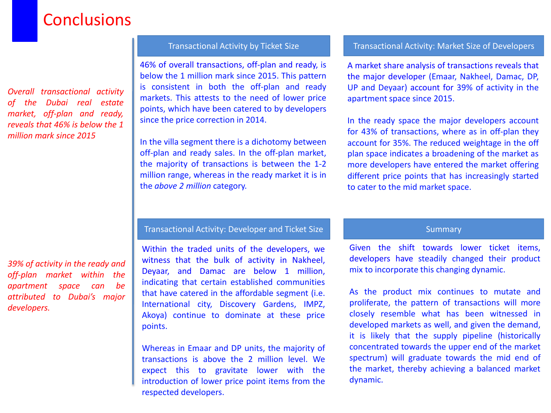# **Conclusions**

*Overall transactional activity of the Dubai real estate market, off-plan and ready, reveals that 46% is below the 1 million mark since 2015*

*39% of activity in the ready and off-plan market within the apartment space can be attributed to Dubai's major developers.*

46% of overall transactions, off-plan and ready, is below the 1 million mark since 2015. This pattern is consistent in both the off-plan and ready markets. This attests to the need of lower price points, which have been catered to by developers since the price correction in 2014.

In the villa segment there is a dichotomy between off-plan and ready sales. In the off-plan market, the majority of transactions is between the 1-2 million range, whereas in the ready market it is in the *above 2 million* category.

#### Transactional Activity by Ticket Size Transactional Activity: Market Size of Developers

A market share analysis of transactions reveals that the major developer (Emaar, Nakheel, Damac, DP, UP and Deyaar) account for 39% of activity in the apartment space since 2015.

In the ready space the major developers account for 43% of transactions, where as in off-plan they account for 35%. The reduced weightage in the off plan space indicates a broadening of the market as more developers have entered the market offering different price points that has increasingly started to cater to the mid market space.

#### Transactional Activity: Developer and Ticket Size Summary Summary

Within the traded units of the developers, we witness that the bulk of activity in Nakheel, Deyaar, and Damac are below 1 million, indicating that certain established communities that have catered in the affordable segment (i.e. International city, Discovery Gardens, IMPZ, Akoya) continue to dominate at these price points.

Whereas in Emaar and DP units, the majority of transactions is above the 2 million level. We expect this to gravitate lower with the introduction of lower price point items from the respected developers.

Given the shift towards lower ticket items, developers have steadily changed their product mix to incorporate this changing dynamic.

As the product mix continues to mutate and proliferate, the pattern of transactions will more closely resemble what has been witnessed in developed markets as well, and given the demand, it is likely that the supply pipeline (historically concentrated towards the upper end of the market spectrum) will graduate towards the mid end of the market, thereby achieving a balanced market dynamic.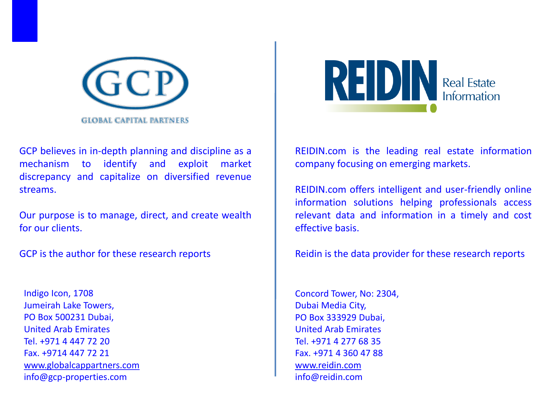

GCP believes in in-depth planning and discipline as a mechanism to identify and exploit market discrepancy and capitalize on diversified revenue streams.

Our purpose is to manage, direct, and create wealth for our clients.

GCP is the author for these research reports

Indigo Icon, 1708 Jumeirah Lake Towers, PO Box 500231 Dubai, United Arab Emirates Tel. +971 4 447 72 20 Fax. +9714 447 72 21 [www.globalcappartners.com](http://www.globalcappartners.com) info@gcp-properties.com



REIDIN.com is the leading real estate information company focusing on emerging markets.

REIDIN.com offers intelligent and user-friendly online information solutions helping professionals access relevant data and information in a timely and cost effective basis.

Reidin is the data provider for these research reports

Concord Tower, No: 2304, Dubai Media City, PO Box 333929 Dubai, United Arab Emirates Tel. +971 4 277 68 35 Fax. +971 4 360 47 88 [www.reidin.com](http://www.reidin.com) info@reidin.com